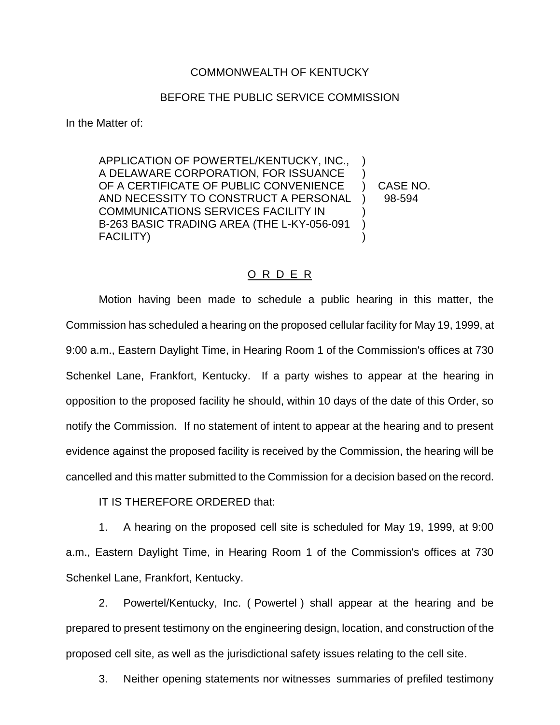## COMMONWEALTH OF KENTUCKY

## BEFORE THE PUBLIC SERVICE COMMISSION

In the Matter of:

APPLICATION OF POWERTEL/KENTUCKY, INC., ) A DELAWARE CORPORATION, FOR ISSUANCE ) OF A CERTIFICATE OF PUBLIC CONVENIENCE ) CASE NO. AND NECESSITY TO CONSTRUCT A PERSONAL ) 98-594 COMMUNICATIONS SERVICES FACILITY IN ) B-263 BASIC TRADING AREA (THE L-KY-056-091 ) FACILITY) (1999) (1999) (1999) (1999) (1999) (1999) (1999) (1999) (1999) (1999) (1999) (1999) (1999) (1999) (1

## O R D E R

Motion having been made to schedule a public hearing in this matter, the Commission has scheduled a hearing on the proposed cellular facility for May 19, 1999, at 9:00 a.m., Eastern Daylight Time, in Hearing Room 1 of the Commission's offices at 730 Schenkel Lane, Frankfort, Kentucky. If a party wishes to appear at the hearing in opposition to the proposed facility he should, within 10 days of the date of this Order, so notify the Commission. If no statement of intent to appear at the hearing and to present evidence against the proposed facility is received by the Commission, the hearing will be cancelled and this matter submitted to the Commission for a decision based on the record.

IT IS THEREFORE ORDERED that:

1. A hearing on the proposed cell site is scheduled for May 19, 1999, at 9:00 a.m., Eastern Daylight Time, in Hearing Room 1 of the Commission's offices at 730 Schenkel Lane, Frankfort, Kentucky.

2. Powertel/Kentucky, Inc. ( Powertel ) shall appear at the hearing and be prepared to present testimony on the engineering design, location, and construction of the proposed cell site, as well as the jurisdictional safety issues relating to the cell site.

3. Neither opening statements nor witnesses summaries of prefiled testimony